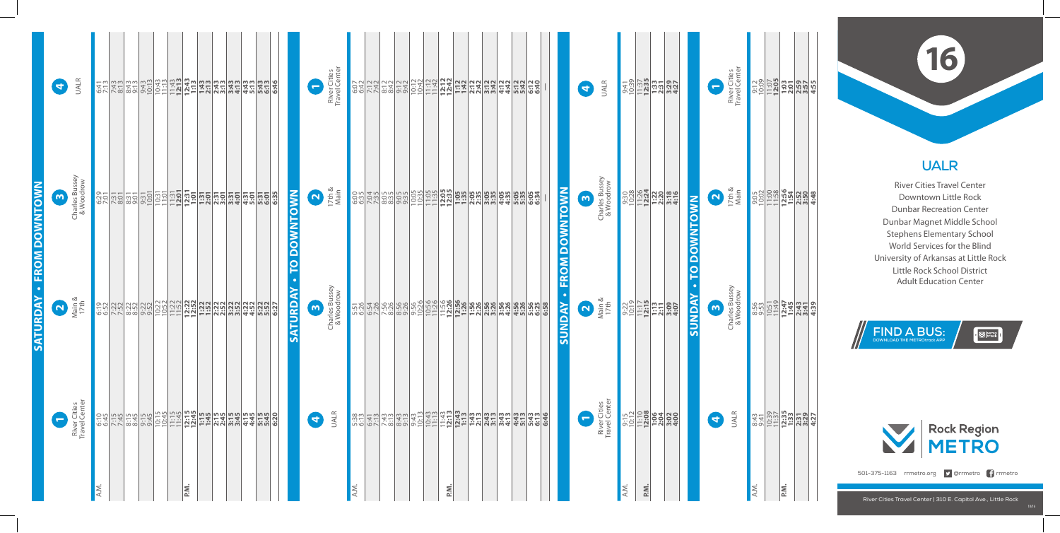### **UALR**

River Cities Travel Center Downtown Little Rock Dunbar Recreation Center Dunbar Magnet Middle School Stephens Elementary School World Services for the Blind University of Arkansas at Little Rock Little Rock School District Adult Education Center

### **16**

**FIND A BUS: DOWNLOAD THE METROtrack APP**

 $\cdot$   $\boxtimes$   $\parallel$   $\frac{METRO}{2}$   $\parallel$ 



501-375-1163 rrmetro.org **D** @rrmetro **f** rrmetro

|                      |                       | <b>UALR</b>                                                      |                                                                                                                                                                 |  | <u>유명 중합양정 영화 중합 중합 중합 중합 중합 중합 중합 중합 중합</u><br>- <u>사</u> 용한 정보 중합 중합 중합 중합 중합 중합 중합 중합 중합 중 |                         |  |  |  |                | $\overline{\phantom{0}}$ | River Cities<br>Travel Center |      |  |  |      |  |  | es Existina especies de la consegue de la consegue de la consegue de la consegue de la consegue de la consegue<br>La consegue de la consegue de la consegue de la consegue de la consegue de la consegue de la consegue de la co |                                          | $\blacktriangleleft$     | <b>UALR</b>                                                        |                                                                                |     | $\begin{array}{r} 0.31 \\ 0.33 \\ 0.133 \\ 0.33 \\ 0.33 \\ 0.33 \\ 0.33 \\ 0.33 \\ 0.33 \\ 0.33 \\ 0.33 \\ 0.33 \\ 0.33 \\ 0.33 \\ 0.33 \\ 0.33 \\ 0.33 \\ 0.33 \\ 0.33 \\ 0.33 \\ 0.33 \\ 0.33 \\ 0.33 \\ 0.33 \\ 0.33 \\ 0.33 \\ 0.33 \\ 0.33 \\ 0.33 \\ 0.33 \\ 0.33 \\ 0.33 \\ 0.33 \\ 0.33 \\ 0.33 \\ 0$ |                                   | $\overline{\phantom{0}}$ | River Cities<br>Travel Center |      |                                                                                                                                                                                                                                                                                                     |  |
|----------------------|-----------------------|------------------------------------------------------------------|-----------------------------------------------------------------------------------------------------------------------------------------------------------------|--|-----------------------------------------------------------------------------------------------|-------------------------|--|--|--|----------------|--------------------------|-------------------------------|------|--|--|------|--|--|----------------------------------------------------------------------------------------------------------------------------------------------------------------------------------------------------------------------------------|------------------------------------------|--------------------------|--------------------------------------------------------------------|--------------------------------------------------------------------------------|-----|---------------------------------------------------------------------------------------------------------------------------------------------------------------------------------------------------------------------------------------------------------------------------------------------------------------|-----------------------------------|--------------------------|-------------------------------|------|-----------------------------------------------------------------------------------------------------------------------------------------------------------------------------------------------------------------------------------------------------------------------------------------------------|--|
| <b>FROM DOWNTOWN</b> | $\boldsymbol{\omega}$ | Charles Bussey<br>& Woodrow                                      | <u>့ အချိုင်း အချိုင်း မြို့သည်။ အချိုင်း မြို့သည်။ အချိုင်း မြို့သည်။</u><br>မြို့သည်။ အချိုင်း မြို့သည်။ အချိုင်း မြို့သည်။ အချိုင်း မြို့သည်။ အချိုင်း မြို့ |  |                                                                                               |                         |  |  |  | <b>OWNTOWN</b> | $\mathbf{\Omega}$        | 17th $\&$<br>Main             |      |  |  |      |  |  | <u>ိုင္မယ္ဆိုင္ရွိသည္ မယ္ဆိုင္ရွိသည့္ မွတ္ထိမွတ္ထိ မွတ္ထိ</u> မွတ္ထိ မွတ္ထိ မွတ္ထိ မွတ္ထိ မွတ္ထိ မွတ္ထိ မွတ္ထိ မွတ္ထိ<br>ေျပာင္း ေရာက္ရွိသည့္ ေျပာင္း ေျပာင္း ေျပာင္း ေျပာင္း ေျပာင္း                                            | <b>FROM DOWNTOWN</b>                     | $\boldsymbol{\omega}$    | Charles Bussey<br>& Woodrow                                        | <b>and and all of the Second Second</b><br><b>and all of the Second Second</b> |     |                                                                                                                                                                                                                                                                                                               | <b>NW</b>                         | 17th &                   |                               |      | $\frac{900}{00000}$<br>$\frac{1000}{10000}$<br>$\frac{1000}{10000}$<br>$\frac{1000}{10000}$<br>$\frac{1000}{10000}$                                                                                                                                                                                 |  |
| <b>SATURDAY</b>      | $\mathbf{N}$          | $\begin{array}{c}\n\text{Main } \& \\ 17 \text{th}\n\end{array}$ |                                                                                                                                                                 |  |                                                                                               |                         |  |  |  | Ă<br>TURDAY    | $\boldsymbol{\omega}$    | Charles Bussey<br>& Woodrow   |      |  |  |      |  |  |                                                                                                                                                                                                                                  | $\bullet$<br><b><i><u>ANQNDS</u></i></b> | $\mathbf{N}_{\parallel}$ | $\begin{array}{c}\n\text{Main } \& \\ 17 \text{th} \\ \end{array}$ |                                                                                |     | $\frac{0.72}{0.1117}$<br>$\frac{0.79}{1.117}$<br>$\frac{1.717}{1.113}$<br>$\frac{0.79}{0.007}$                                                                                                                                                                                                                | <b>AON</b><br>$\Box$<br><b>In</b> | $\omega$                 | Charles Bussey<br>& Woodrow   |      |                                                                                                                                                                                                                                                                                                     |  |
|                      | $\blacksquare$        | River Cities<br>Travel Center                                    |                                                                                                                                                                 |  |                                                                                               |                         |  |  |  |                | $\blacktriangleleft$     | <b>UALR</b>                   |      |  |  |      |  |  | <u>welfer belase et direction in the set of the set of the set of the set of the set of the set of the set of th</u>                                                                                                             |                                          | $\leftarrow$             | River Cities<br>Travel Center                                      |                                                                                |     | 9:15<br>0:12 08 08 08 09 10:11                                                                                                                                                                                                                                                                                |                                   | $\blacktriangleleft$     | <b>UALR</b>                   |      | $\begin{array}{r} 3.43 \\ 3.41 \\ 10.39 \\ 11.37 \\ 12.35 \\ 13.39 \\ 13.39 \\ 13.21 \\ 13.39 \\ 13.21 \\ 13.39 \\ 13.23 \\ 13.34 \\ 13.34 \\ 13.35 \\ 13.36 \\ 13.37 \\ 13.38 \\ 13.39 \\ 13.39 \\ 13.33 \\ 13.33 \\ 13.33 \\ 13.33 \\ 13.33 \\ 13.33 \\ 13.33 \\ 13.33 \\ 13.33 \\ 13.33 \\ 13.3$ |  |
|                      |                       |                                                                  | A.M.                                                                                                                                                            |  |                                                                                               | $\overline{\mathsf{N}}$ |  |  |  |                |                          |                               | A.M. |  |  | P.M. |  |  |                                                                                                                                                                                                                                  |                                          |                          |                                                                    | A.M.                                                                           | P.M |                                                                                                                                                                                                                                                                                                               |                                   |                          |                               | A.M. | <b>NG</b>                                                                                                                                                                                                                                                                                           |  |